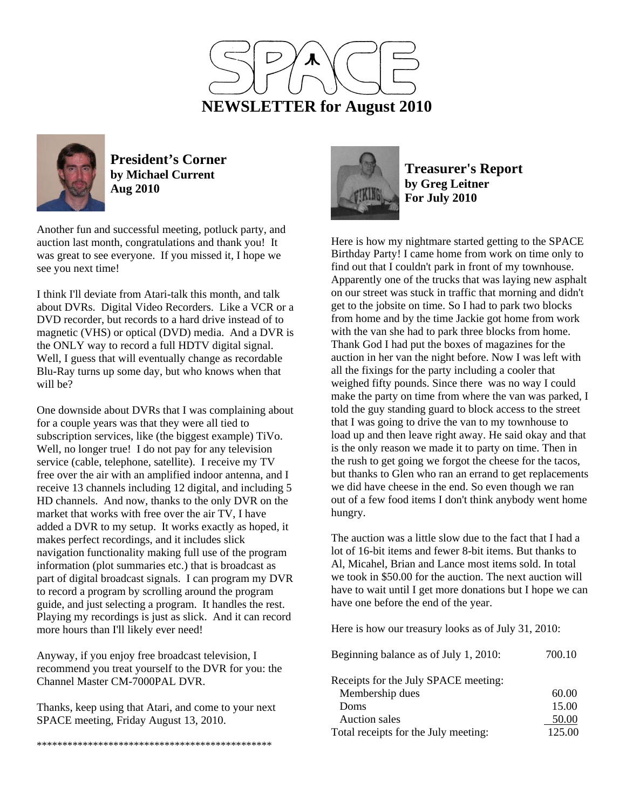



**President's Corner by Michael Current Aug 2010**

Another fun and successful meeting, potluck party, and auction last month, congratulations and thank you! It was great to see everyone. If you missed it, I hope we see you next time!

I think I'll deviate from Atari-talk this month, and talk about DVRs. Digital Video Recorders. Like a VCR or a DVD recorder, but records to a hard drive instead of to magnetic (VHS) or optical (DVD) media. And a DVR is the ONLY way to record a full HDTV digital signal. Well, I guess that will eventually change as recordable Blu-Ray turns up some day, but who knows when that will be?

One downside about DVRs that I was complaining about for a couple years was that they were all tied to subscription services, like (the biggest example) TiVo. Well, no longer true! I do not pay for any television service (cable, telephone, satellite). I receive my TV free over the air with an amplified indoor antenna, and I receive 13 channels including 12 digital, and including 5 HD channels. And now, thanks to the only DVR on the market that works with free over the air TV, I have added a DVR to my setup. It works exactly as hoped, it makes perfect recordings, and it includes slick navigation functionality making full use of the program information (plot summaries etc.) that is broadcast as part of digital broadcast signals. I can program my DVR to record a program by scrolling around the program guide, and just selecting a program. It handles the rest. Playing my recordings is just as slick. And it can record more hours than I'll likely ever need!

Anyway, if you enjoy free broadcast television, I recommend you treat yourself to the DVR for you: the Channel Master CM-7000PAL DVR.

Thanks, keep using that Atari, and come to your next SPACE meeting, Friday August 13, 2010.

\*\*\*\*\*\*\*\*\*\*\*\*\*\*\*\*\*\*\*\*\*\*\*\*\*\*\*\*\*\*\*\*\*\*\*\*\*\*\*\*\*\*\*\*\*\*



**Treasurer's Report by Greg Leitner For July 2010** 

Here is how my nightmare started getting to the SPACE Birthday Party! I came home from work on time only to find out that I couldn't park in front of my townhouse. Apparently one of the trucks that was laying new asphalt on our street was stuck in traffic that morning and didn't get to the jobsite on time. So I had to park two blocks from home and by the time Jackie got home from work with the van she had to park three blocks from home. Thank God I had put the boxes of magazines for the auction in her van the night before. Now I was left with all the fixings for the party including a cooler that weighed fifty pounds. Since there was no way I could make the party on time from where the van was parked, I told the guy standing guard to block access to the street that I was going to drive the van to my townhouse to load up and then leave right away. He said okay and that is the only reason we made it to party on time. Then in the rush to get going we forgot the cheese for the tacos, but thanks to Glen who ran an errand to get replacements we did have cheese in the end. So even though we ran out of a few food items I don't think anybody went home hungry.

The auction was a little slow due to the fact that I had a lot of 16-bit items and fewer 8-bit items. But thanks to Al, Micahel, Brian and Lance most items sold. In total we took in \$50.00 for the auction. The next auction will have to wait until I get more donations but I hope we can have one before the end of the year.

Here is how our treasury looks as of July 31, 2010:

| Beginning balance as of July 1, 2010: | 700.10 |
|---------------------------------------|--------|
| Receipts for the July SPACE meeting:  |        |
| Membership dues                       | 60.00  |
| Doms                                  | 15.00  |
| <b>Auction</b> sales                  | 50.00  |
| Total receipts for the July meeting:  | 125.00 |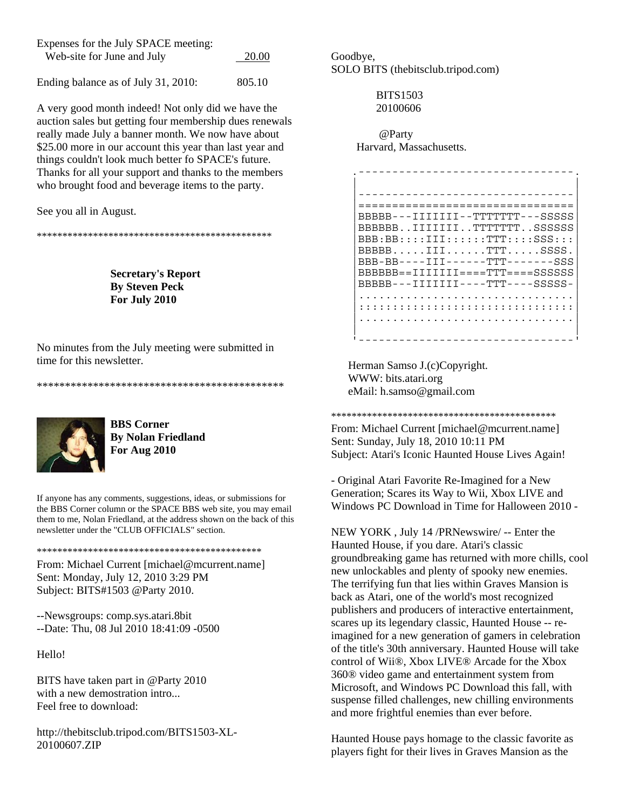| Expenses for the July SPACE meeting: |       |
|--------------------------------------|-------|
| Web-site for June and July           | 20.00 |
|                                      |       |

Ending balance as of July 31, 2010: 805.10

A very good month indeed! Not only did we have the auction sales but getting four membership dues renewals really made July a banner month. We now have about \$25.00 more in our account this year than last year and things couldn't look much better fo SPACE's future. Thanks for all your support and thanks to the members who brought food and beverage items to the party.

See you all in August.

\*\*\*\*\*\*\*\*\*\*\*\*\*\*\*\*\*\*\*\*\*\*\*\*\*\*\*\*\*\*\*\*\*\*\*\*\*\*\*\*\*\*\*\*\*\*

**Secretary's Report By Steven Peck For July 2010** 

No minutes from the July meeting were submitted in time for this newsletter.

\*\*\*\*\*\*\*\*\*\*\*\*\*\*\*\*\*\*\*\*\*\*\*\*\*\*\*\*\*\*\*\*\*\*\*\*\*\*\*\*\*\*\*\*



**BBS Corner By Nolan Friedland For Aug 2010** 

If anyone has any comments, suggestions, ideas, or submissions for the BBS Corner column or the SPACE BBS web site, you may email them to me, Nolan Friedland, at the address shown on the back of this newsletter under the "CLUB OFFICIALS" section.

\*\*\*\*\*\*\*\*\*\*\*\*\*\*\*\*\*\*\*\*\*\*\*\*\*\*\*\*\*\*\*\*\*\*\*\*\*\*\*\*\*\*\*\*

From: Michael Current [michael@mcurrent.name] Sent: Monday, July 12, 2010 3:29 PM Subject: BITS#1503 @Party 2010.

--Newsgroups: comp.sys.atari.8bit --Date: Thu, 08 Jul 2010 18:41:09 -0500

Hello!

BITS have taken part in @Party 2010 with a new demostration intro... Feel free to download:

http://thebitsclub.tripod.com/BITS1503-XL-20100607.ZIP

Goodbye, SOLO BITS (thebitsclub.tripod.com)

> BITS1503 20100606

 @Party Harvard, Massachusetts.

| BBBBB----TTTTTTT--TTTTTTF---SSSSS                     |  |  |  |  |  |  |  |
|-------------------------------------------------------|--|--|--|--|--|--|--|
| BBBBBB. IIIIIII. TTTTTTT. SSSSSS                      |  |  |  |  |  |  |  |
| $BBB:BB: \ldots : III: : : : : : TTT: : : : SSS: : :$ |  |  |  |  |  |  |  |
| BBBBBTTTTTTSSSS.                                      |  |  |  |  |  |  |  |
| $RRR-RR---TTT---TTT---TTTT---SSS$                     |  |  |  |  |  |  |  |
| $BBBBBB == IIIIIIII == = TTT == SSSSSS$               |  |  |  |  |  |  |  |
| $RRRRR - - TTTTTTTT - - - TTTT - - - SSSSS -$         |  |  |  |  |  |  |  |
|                                                       |  |  |  |  |  |  |  |
|                                                       |  |  |  |  |  |  |  |
|                                                       |  |  |  |  |  |  |  |
|                                                       |  |  |  |  |  |  |  |

 Herman Samso J.(c)Copyright. WWW: bits.atari.org eMail: h.samso@gmail.com

\*\*\*\*\*\*\*\*\*\*\*\*\*\*\*\*\*\*\*\*\*\*\*\*\*\*\*\*\*\*\*\*\*\*\*\*\*\*\*\*\*\*\*\*

From: Michael Current [michael@mcurrent.name] Sent: Sunday, July 18, 2010 10:11 PM Subject: Atari's Iconic Haunted House Lives Again!

- Original Atari Favorite Re-Imagined for a New Generation; Scares its Way to Wii, Xbox LIVE and Windows PC Download in Time for Halloween 2010 -

NEW YORK , July 14 /PRNewswire/ -- Enter the Haunted House, if you dare. Atari's classic groundbreaking game has returned with more chills, cool new unlockables and plenty of spooky new enemies. The terrifying fun that lies within Graves Mansion is back as Atari, one of the world's most recognized publishers and producers of interactive entertainment, scares up its legendary classic, Haunted House -- reimagined for a new generation of gamers in celebration of the title's 30th anniversary. Haunted House will take control of Wii®, Xbox LIVE® Arcade for the Xbox 360® video game and entertainment system from Microsoft, and Windows PC Download this fall, with suspense filled challenges, new chilling environments and more frightful enemies than ever before.

Haunted House pays homage to the classic favorite as players fight for their lives in Graves Mansion as the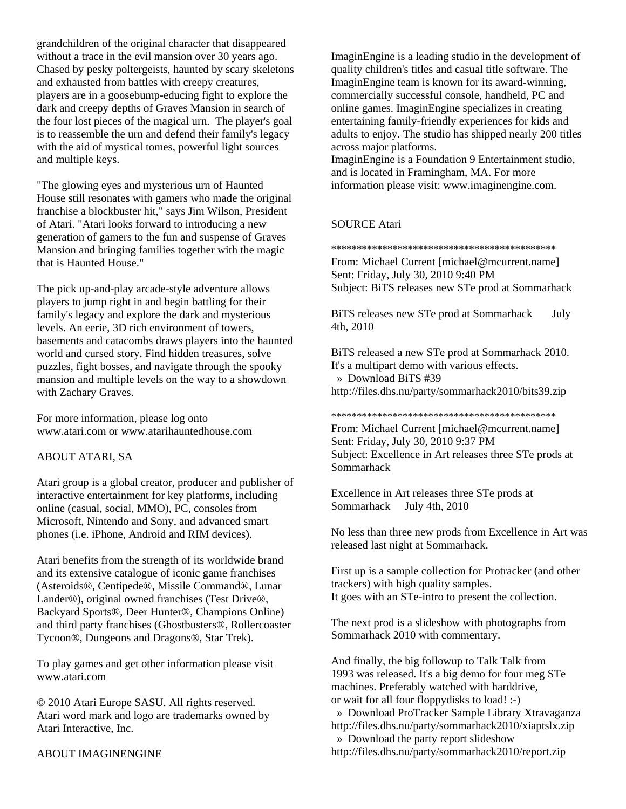grandchildren of the original character that disappeared without a trace in the evil mansion over 30 years ago. Chased by pesky poltergeists, haunted by scary skeletons and exhausted from battles with creepy creatures, players are in a goosebump-educing fight to explore the dark and creepy depths of Graves Mansion in search of the four lost pieces of the magical urn. The player's goal is to reassemble the urn and defend their family's legacy with the aid of mystical tomes, powerful light sources and multiple keys.

"The glowing eyes and mysterious urn of Haunted House still resonates with gamers who made the original franchise a blockbuster hit," says Jim Wilson, President of Atari. "Atari looks forward to introducing a new generation of gamers to the fun and suspense of Graves Mansion and bringing families together with the magic that is Haunted House."

The pick up-and-play arcade-style adventure allows players to jump right in and begin battling for their family's legacy and explore the dark and mysterious levels. An eerie, 3D rich environment of towers, basements and catacombs draws players into the haunted world and cursed story. Find hidden treasures, solve puzzles, fight bosses, and navigate through the spooky mansion and multiple levels on the way to a showdown with Zachary Graves.

For more information, please log onto www.atari.com or www.atarihauntedhouse.com

## ABOUT ATARI, SA

Atari group is a global creator, producer and publisher of interactive entertainment for key platforms, including online (casual, social, MMO), PC, consoles from Microsoft, Nintendo and Sony, and advanced smart phones (i.e. iPhone, Android and RIM devices).

Atari benefits from the strength of its worldwide brand and its extensive catalogue of iconic game franchises (Asteroids®, Centipede®, Missile Command®, Lunar Lander®), original owned franchises (Test Drive®, Backyard Sports®, Deer Hunter®, Champions Online) and third party franchises (Ghostbusters®, Rollercoaster Tycoon®, Dungeons and Dragons®, Star Trek).

To play games and get other information please visit www.atari.com

© 2010 Atari Europe SASU. All rights reserved. Atari word mark and logo are trademarks owned by Atari Interactive, Inc.

ABOUT IMAGINENGINE

ImaginEngine is a leading studio in the development of quality children's titles and casual title software. The ImaginEngine team is known for its award-winning, commercially successful console, handheld, PC and online games. ImaginEngine specializes in creating entertaining family-friendly experiences for kids and adults to enjoy. The studio has shipped nearly 200 titles across major platforms.

ImaginEngine is a Foundation 9 Entertainment studio, and is located in Framingham, MA. For more information please visit: www.imaginengine.com.

## SOURCE Atari

\*\*\*\*\*\*\*\*\*\*\*\*\*\*\*\*\*\*\*\*\*\*\*\*\*\*\*\*\*\*\*\*\*\*\*\*\*\*\*\*\*\*\*\*

From: Michael Current [michael@mcurrent.name] Sent: Friday, July 30, 2010 9:40 PM Subject: BiTS releases new STe prod at Sommarhack

BiTS releases new STe prod at Sommarhack July 4th, 2010

BiTS released a new STe prod at Sommarhack 2010. It's a multipart demo with various effects. » Download BiTS #39 http://files.dhs.nu/party/sommarhack2010/bits39.zip

\*\*\*\*\*\*\*\*\*\*\*\*\*\*\*\*\*\*\*\*\*\*\*\*\*\*\*\*\*\*\*\*\*\*\*\*\*\*\*\*\*\*\*\*

From: Michael Current [michael@mcurrent.name] Sent: Friday, July 30, 2010 9:37 PM Subject: Excellence in Art releases three STe prods at Sommarhack

Excellence in Art releases three STe prods at Sommarhack July 4th, 2010

No less than three new prods from Excellence in Art was released last night at Sommarhack.

First up is a sample collection for Protracker (and other trackers) with high quality samples. It goes with an STe-intro to present the collection.

The next prod is a slideshow with photographs from Sommarhack 2010 with commentary.

And finally, the big followup to Talk Talk from 1993 was released. It's a big demo for four meg STe machines. Preferably watched with harddrive, or wait for all four floppydisks to load! :-)

 » Download ProTracker Sample Library Xtravaganza http://files.dhs.nu/party/sommarhack2010/xiaptslx.zip » Download the party report slideshow http://files.dhs.nu/party/sommarhack2010/report.zip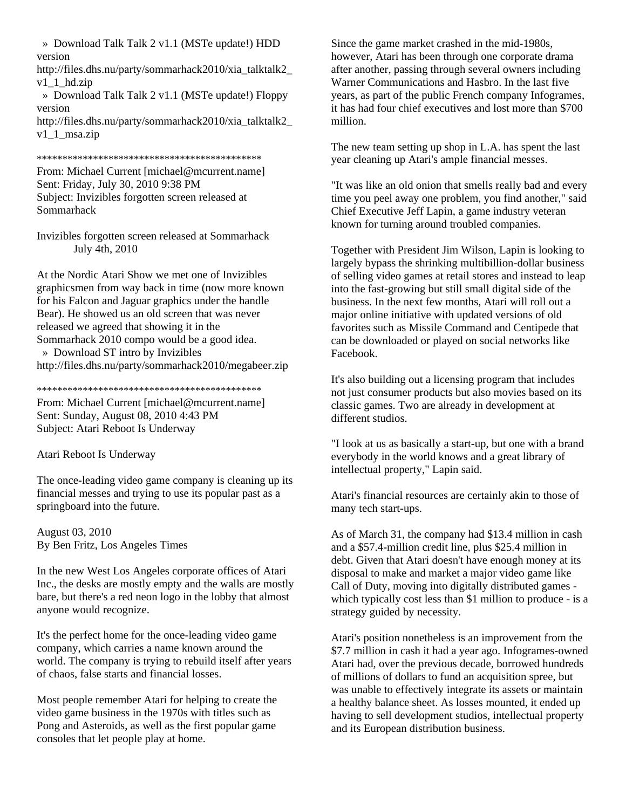» Download Talk Talk 2 v1.1 (MSTe update!) HDD version

http://files.dhs.nu/party/sommarhack2010/xia\_talktalk2\_ v1\_1\_hd.zip

 » Download Talk Talk 2 v1.1 (MSTe update!) Floppy version

http://files.dhs.nu/party/sommarhack2010/xia\_talktalk2\_ v1\_1\_msa.zip

\*\*\*\*\*\*\*\*\*\*\*\*\*\*\*\*\*\*\*\*\*\*\*\*\*\*\*\*\*\*\*\*\*\*\*\*\*\*\*\*\*\*\*\*

From: Michael Current [michael@mcurrent.name] Sent: Friday, July 30, 2010 9:38 PM Subject: Invizibles forgotten screen released at Sommarhack

Invizibles forgotten screen released at Sommarhack July 4th, 2010

At the Nordic Atari Show we met one of Invizibles graphicsmen from way back in time (now more known for his Falcon and Jaguar graphics under the handle Bear). He showed us an old screen that was never released we agreed that showing it in the Sommarhack 2010 compo would be a good idea. » Download ST intro by Invizibles http://files.dhs.nu/party/sommarhack2010/megabeer.zip

\*\*\*\*\*\*\*\*\*\*\*\*\*\*\*\*\*\*\*\*\*\*\*\*\*\*\*\*\*\*\*\*\*\*\*\*\*\*\*\*\*\*\*\*

From: Michael Current [michael@mcurrent.name] Sent: Sunday, August 08, 2010 4:43 PM Subject: Atari Reboot Is Underway

Atari Reboot Is Underway

The once-leading video game company is cleaning up its financial messes and trying to use its popular past as a springboard into the future.

August 03, 2010 By Ben Fritz, Los Angeles Times

In the new West Los Angeles corporate offices of Atari Inc., the desks are mostly empty and the walls are mostly bare, but there's a red neon logo in the lobby that almost anyone would recognize.

It's the perfect home for the once-leading video game company, which carries a name known around the world. The company is trying to rebuild itself after years of chaos, false starts and financial losses.

Most people remember Atari for helping to create the video game business in the 1970s with titles such as Pong and Asteroids, as well as the first popular game consoles that let people play at home.

Since the game market crashed in the mid-1980s, however, Atari has been through one corporate drama after another, passing through several owners including Warner Communications and Hasbro. In the last five years, as part of the public French company Infogrames, it has had four chief executives and lost more than \$700 million.

The new team setting up shop in L.A. has spent the last year cleaning up Atari's ample financial messes.

"It was like an old onion that smells really bad and every time you peel away one problem, you find another," said Chief Executive Jeff Lapin, a game industry veteran known for turning around troubled companies.

Together with President Jim Wilson, Lapin is looking to largely bypass the shrinking multibillion-dollar business of selling video games at retail stores and instead to leap into the fast-growing but still small digital side of the business. In the next few months, Atari will roll out a major online initiative with updated versions of old favorites such as Missile Command and Centipede that can be downloaded or played on social networks like Facebook.

It's also building out a licensing program that includes not just consumer products but also movies based on its classic games. Two are already in development at different studios.

"I look at us as basically a start-up, but one with a brand everybody in the world knows and a great library of intellectual property," Lapin said.

Atari's financial resources are certainly akin to those of many tech start-ups.

As of March 31, the company had \$13.4 million in cash and a \$57.4-million credit line, plus \$25.4 million in debt. Given that Atari doesn't have enough money at its disposal to make and market a major video game like Call of Duty, moving into digitally distributed games which typically cost less than \$1 million to produce - is a strategy guided by necessity.

Atari's position nonetheless is an improvement from the \$7.7 million in cash it had a year ago. Infogrames-owned Atari had, over the previous decade, borrowed hundreds of millions of dollars to fund an acquisition spree, but was unable to effectively integrate its assets or maintain a healthy balance sheet. As losses mounted, it ended up having to sell development studios, intellectual property and its European distribution business.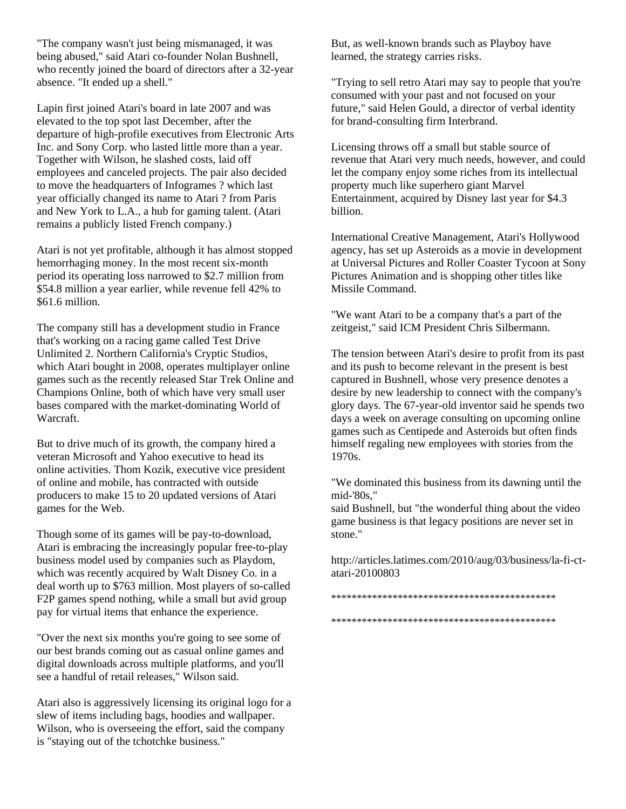"The company wasn't just being mismanaged, it was being abused," said Atari co-founder Nolan Bushnell, who recently joined the board of directors after a 32-year absence. "It ended up a shell."

Lapin first joined Atari's board in late 2007 and was elevated to the top spot last December, after the departure of high-profile executives from Electronic Arts Inc. and Sony Corp. who lasted little more than a year. Together with Wilson, he slashed costs, laid off employees and canceled projects. The pair also decided to move the headquarters of Infogrames ? which last year officially changed its name to Atari ? from Paris and New York to L.A., a hub for gaming talent. (Atari remains a publicly listed French company.)

Atari is not yet profitable, although it has almost stopped hemorrhaging money. In the most recent six-month period its operating loss narrowed to \$2.7 million from \$54.8 million a year earlier, while revenue fell 42% to \$61.6 million.

The company still has a development studio in France that's working on a racing game called Test Drive Unlimited 2. Northern California's Cryptic Studios, which Atari bought in 2008, operates multiplayer online games such as the recently released Star Trek Online and Champions Online, both of which have very small user bases compared with the market-dominating World of Warcraft.

But to drive much of its growth, the company hired a veteran Microsoft and Yahoo executive to head its online activities. Thom Kozik, executive vice president of online and mobile, has contracted with outside producers to make 15 to 20 updated versions of Atari games for the Web.

Though some of its games will be pay-to-download, Atari is embracing the increasingly popular free-to-play business model used by companies such as Playdom, which was recently acquired by Walt Disney Co. in a deal worth up to \$763 million. Most players of so-called F2P games spend nothing, while a small but avid group pay for virtual items that enhance the experience.

"Over the next six months you're going to see some of our best brands coming out as casual online games and digital downloads across multiple platforms, and you'll see a handful of retail releases," Wilson said.

Atari also is aggressively licensing its original logo for a slew of items including bags, hoodies and wallpaper. Wilson, who is overseeing the effort, said the company is "staying out of the tchotchke business."

But, as well-known brands such as Playboy have learned, the strategy carries risks.

"Trying to sell retro Atari may say to people that you're consumed with your past and not focused on your future," said Helen Gould, a director of verbal identity for brand-consulting firm Interbrand.

Licensing throws off a small but stable source of revenue that Atari very much needs, however, and could let the company enjoy some riches from its intellectual property much like superhero giant Marvel Entertainment, acquired by Disney last year for \$4.3 billion.

International Creative Management, Atari's Hollywood agency, has set up Asteroids as a movie in development at Universal Pictures and Roller Coaster Tycoon at Sony Pictures Animation and is shopping other titles like Missile Command.

"We want Atari to be a company that's a part of the zeitgeist," said ICM President Chris Silbermann.

The tension between Atari's desire to profit from its past and its push to become relevant in the present is best captured in Bushnell, whose very presence denotes a desire by new leadership to connect with the company's glory days. The 67-year-old inventor said he spends two days a week on average consulting on upcoming online games such as Centipede and Asteroids but often finds himself regaling new employees with stories from the 1970s.

"We dominated this business from its dawning until the mid-'80s,"

said Bushnell, but "the wonderful thing about the video game business is that legacy positions are never set in stone."

http://articles.latimes.com/2010/aug/03/business/la-fi-ctatari-20100803

\*\*\*\*\*\*\*\*\*\*\*\*\*\*\*\*\*\*\*\*\*\*\*\*\*\*\*\*\*\*\*\*\*\*\*\*\*\*\*\*\*\*\*\*

\*\*\*\*\*\*\*\*\*\*\*\*\*\*\*\*\*\*\*\*\*\*\*\*\*\*\*\*\*\*\*\*\*\*\*\*\*\*\*\*\*\*\*\*